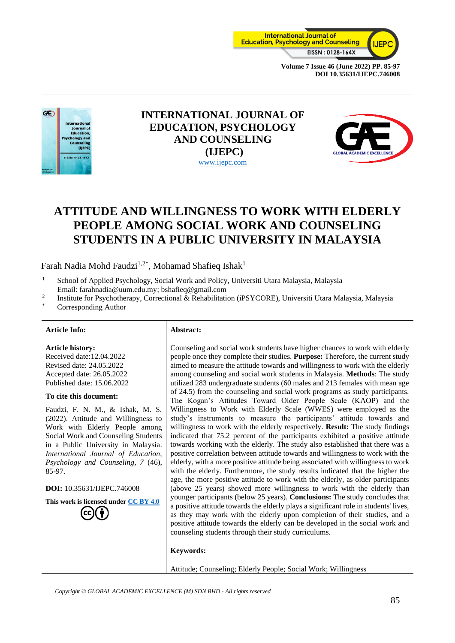



# **INTERNATIONAL JOURNAL OF EDUCATION, PSYCHOLOGY AND COUNSELING (IJEPC)** [www.ijepc.com](http://www.ijepc.com/)



# **ATTITUDE AND WILLINGNESS TO WORK WITH ELDERLY PEOPLE AMONG SOCIAL WORK AND COUNSELING STUDENTS IN A PUBLIC UNIVERSITY IN MALAYSIA**

Farah Nadia Mohd Faudzi<sup>1,2\*</sup>, Mohamad Shafieq Ishak<sup>1</sup>

- <sup>1</sup> School of Applied Psychology, Social Work and Policy, Universiti Utara Malaysia, Malaysia Email: farahnadia@uum.edu.my; bshafieq@gmail.com
- 2 Institute for Psychotherapy, Correctional & Rehabilitation (iPSYCORE), Universiti Utara Malaysia, Malaysia
- Corresponding Author

### **Article Info: Abstract:**

**Article history:** Received date:12.04.2022

Revised date: 24.05.2022 Accepted date: 26.05.2022 Published date: 15.06.2022

#### **To cite this document:**

Faudzi, F. N. M., & Ishak, M. S. (2022). Attitude and Willingness to Work with Elderly People among Social Work and Counseling Students in a Public University in Malaysia. *International Journal of Education, Psychology and Counseling, 7* (46), 85-97.

**DOI:** 10.35631/IJEPC.746008

**This work is licensed under [CC BY 4.0](https://creativecommons.org/licenses/by/4.0/?ref=chooser-v1)**

Counseling and social work students have higher chances to work with elderly people once they complete their studies. **Purpose:** Therefore, the current study aimed to measure the attitude towards and willingness to work with the elderly among counseling and social work students in Malaysia. **Methods**: The study utilized 283 undergraduate students (60 males and 213 females with mean age of 24.5) from the counseling and social work programs as study participants. The Kogan's Attitudes Toward Older People Scale (KAOP) and the Willingness to Work with Elderly Scale (WWES) were employed as the study's instruments to measure the participants' attitude towards and willingness to work with the elderly respectively. **Result:** The study findings indicated that 75.2 percent of the participants exhibited a positive attitude towards working with the elderly. The study also established that there was a positive correlation between attitude towards and willingness to work with the elderly, with a more positive attitude being associated with willingness to work with the elderly. Furthermore, the study results indicated that the higher the age, the more positive attitude to work with the elderly, as older participants (above 25 years) showed more willingness to work with the elderly than younger participants (below 25 years). **Conclusions:** The study concludes that a positive attitude towards the elderly plays a significant role in students' lives, as they may work with the elderly upon completion of their studies, and a positive attitude towards the elderly can be developed in the social work and counseling students through their study curriculums.

### **Keywords:**

Attitude; Counseling; Elderly People; Social Work; Willingness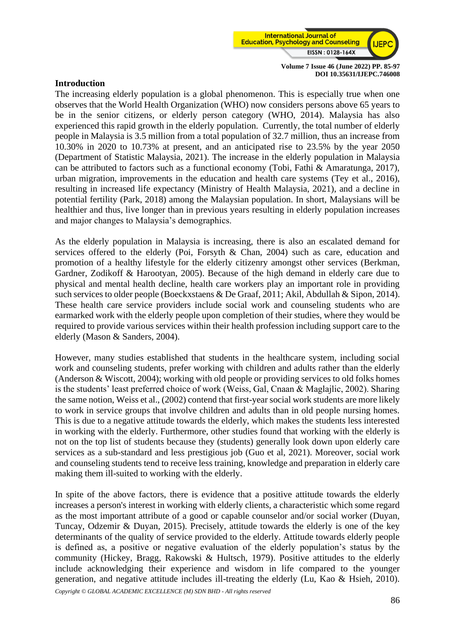

# **Introduction**

The increasing elderly population is a global phenomenon. This is especially true when one observes that the World Health Organization (WHO) now considers persons above 65 years to be in the senior citizens, or elderly person category (WHO, 2014). Malaysia has also experienced this rapid growth in the elderly population. Currently, the total number of elderly people in Malaysia is 3.5 million from a total population of 32.7 million, thus an increase from 10.30% in 2020 to 10.73% at present, and an anticipated rise to 23.5% by the year 2050 (Department of Statistic Malaysia, 2021). The increase in the elderly population in Malaysia can be attributed to factors such as a functional economy (Tobi, Fathi & Amaratunga, 2017), urban migration, improvements in the education and health care systems (Tey et al., 2016), resulting in increased life expectancy (Ministry of Health Malaysia, 2021), and a decline in potential fertility (Park, 2018) among the Malaysian population. In short, Malaysians will be healthier and thus, live longer than in previous years resulting in elderly population increases and major changes to Malaysia's demographics.

As the elderly population in Malaysia is increasing, there is also an escalated demand for services offered to the elderly (Poi, Forsyth & Chan, 2004) such as care, education and promotion of a healthy lifestyle for the elderly citizenry amongst other services (Berkman, Gardner, Zodikoff & Harootyan, 2005). Because of the high demand in elderly care due to physical and mental health decline, health care workers play an important role in providing such services to older people (Boeckxstaens & De Graaf, 2011; Akil, Abdullah & Sipon, 2014). These health care service providers include social work and counseling students who are earmarked work with the elderly people upon completion of their studies, where they would be required to provide various services within their health profession including support care to the elderly (Mason & Sanders, 2004).

However, many studies established that students in the healthcare system, including social work and counseling students, prefer working with children and adults rather than the elderly (Anderson & Wiscott, 2004); working with old people or providing services to old folks homes is the students' least preferred choice of work (Weiss, Gal, Cnaan & Maglajlic, 2002). Sharing the same notion, Weiss et al., (2002) contend that first-year social work students are more likely to work in service groups that involve children and adults than in old people nursing homes. This is due to a negative attitude towards the elderly, which makes the students less interested in working with the elderly. Furthermore, other studies found that working with the elderly is not on the top list of students because they (students) generally look down upon elderly care services as a sub-standard and less prestigious job (Guo et al, 2021). Moreover, social work and counseling students tend to receive less training, knowledge and preparation in elderly care making them ill-suited to working with the elderly.

In spite of the above factors, there is evidence that a positive attitude towards the elderly increases a person's interest in working with elderly clients, a characteristic which some regard as the most important attribute of a good or capable counselor and/or social worker (Duyan, Tuncay, Odzemir & Duyan, 2015). Precisely, attitude towards the elderly is one of the key determinants of the quality of service provided to the elderly. Attitude towards elderly people is defined as, a positive or negative evaluation of the elderly population's status by the community (Hickey, Bragg, Rakowski & Hultsch, 1979). Positive attitudes to the elderly include acknowledging their experience and wisdom in life compared to the younger generation, and negative attitude includes ill-treating the elderly (Lu, Kao & Hsieh, 2010).

*Copyright © GLOBAL ACADEMIC EXCELLENCE (M) SDN BHD - All rights reserved*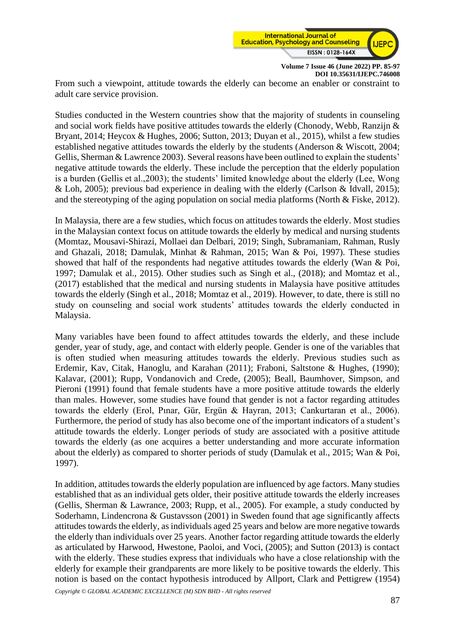

From such a viewpoint, attitude towards the elderly can become an enabler or constraint to adult care service provision.

Studies conducted in the Western countries show that the majority of students in counseling and social work fields have positive attitudes towards the elderly (Chonody, Webb, Ranzijn & Bryant, 2014; Heycox & Hughes, 2006; Sutton, 2013; Duyan et al., 2015), whilst a few studies established negative attitudes towards the elderly by the students (Anderson & Wiscott, 2004; Gellis, Sherman & Lawrence 2003). Several reasons have been outlined to explain the students' negative attitude towards the elderly. These include the perception that the elderly population is a burden (Gellis et al.,2003); the students' limited knowledge about the elderly (Lee, Wong & Loh, 2005); previous bad experience in dealing with the elderly (Carlson & Idvall, 2015); and the stereotyping of the aging population on social media platforms (North & Fiske, 2012).

In Malaysia, there are a few studies, which focus on attitudes towards the elderly. Most studies in the Malaysian context focus on attitude towards the elderly by medical and nursing students (Momtaz, Mousavi-Shirazi, Mollaei dan Delbari, 2019; Singh, Subramaniam, Rahman, Rusly and Ghazali, 2018; Damulak, Minhat & Rahman, 2015; Wan & Poi, 1997). These studies showed that half of the respondents had negative attitudes towards the elderly (Wan & Poi, 1997; Damulak et al., 2015). Other studies such as Singh et al., (2018); and Momtaz et al., (2017) established that the medical and nursing students in Malaysia have positive attitudes towards the elderly (Singh et al., 2018; Momtaz et al., 2019). However, to date, there is still no study on counseling and social work students' attitudes towards the elderly conducted in Malaysia.

Many variables have been found to affect attitudes towards the elderly, and these include gender, year of study, age, and contact with elderly people. Gender is one of the variables that is often studied when measuring attitudes towards the elderly. Previous studies such as Erdemir, Kav, Citak, Hanoglu, and Karahan (2011); Fraboni, Saltstone & Hughes, (1990); Kalavar, (2001); Rupp, Vondanovich and Crede, (2005); Beall, Baumhover, Simpson, and Pieroni (1991) found that female students have a more positive attitude towards the elderly than males. However, some studies have found that gender is not a factor regarding attitudes towards the elderly (Erol, Pınar, Gür, Ergün & Hayran, 2013; Cankurtaran et al., 2006). Furthermore, the period of study has also become one of the important indicators of a student's attitude towards the elderly. Longer periods of study are associated with a positive attitude towards the elderly (as one acquires a better understanding and more accurate information about the elderly) as compared to shorter periods of study (Damulak et al., 2015; Wan & Poi, 1997).

In addition, attitudes towards the elderly population are influenced by age factors. Many studies established that as an individual gets older, their positive attitude towards the elderly increases (Gellis, Sherman & Lawrance, 2003; Rupp, et al., 2005). For example, a study conducted by Soderhamn, Lindencrona & Gustavsson (2001) in Sweden found that age significantly affects attitudes towards the elderly, as individuals aged 25 years and below are more negative towards the elderly than individuals over 25 years. Another factor regarding attitude towards the elderly as articulated by Harwood, Hwestone, Paoloi, and Voci, (2005); and Sutton (2013) is contact with the elderly. These studies express that individuals who have a close relationship with the elderly for example their grandparents are more likely to be positive towards the elderly. This notion is based on the contact hypothesis introduced by Allport, Clark and Pettigrew (1954)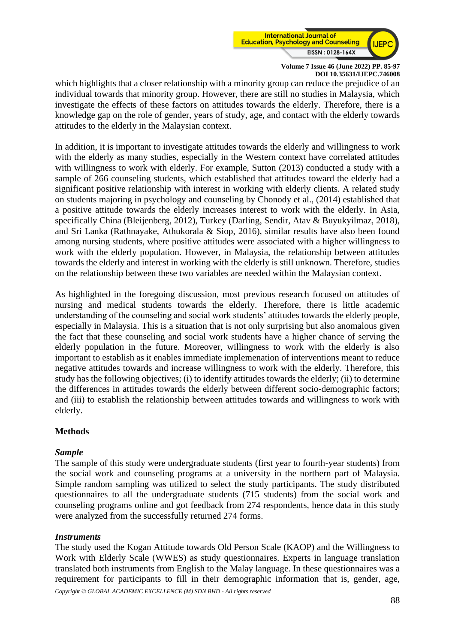

which highlights that a closer relationship with a minority group can reduce the prejudice of an individual towards that minority group. However, there are still no studies in Malaysia, which investigate the effects of these factors on attitudes towards the elderly. Therefore, there is a knowledge gap on the role of gender, years of study, age, and contact with the elderly towards attitudes to the elderly in the Malaysian context.

In addition, it is important to investigate attitudes towards the elderly and willingness to work with the elderly as many studies, especially in the Western context have correlated attitudes with willingness to work with elderly. For example, Sutton (2013) conducted a study with a sample of 266 counseling students, which established that attitudes toward the elderly had a significant positive relationship with interest in working with elderly clients. A related study on students majoring in psychology and counseling by Chonody et al., (2014) established that a positive attitude towards the elderly increases interest to work with the elderly. In Asia, specifically China (Bleijenberg, 2012), Turkey (Darling, Sendir, Atav & Buyukyilmaz, 2018), and Sri Lanka (Rathnayake, Athukorala & Siop, 2016), similar results have also been found among nursing students, where positive attitudes were associated with a higher willingness to work with the elderly population. However, in Malaysia, the relationship between attitudes towards the elderly and interest in working with the elderly is still unknown. Therefore, studies on the relationship between these two variables are needed within the Malaysian context.

As highlighted in the foregoing discussion, most previous research focused on attitudes of nursing and medical students towards the elderly. Therefore, there is little academic understanding of the counseling and social work students' attitudes towards the elderly people, especially in Malaysia. This is a situation that is not only surprising but also anomalous given the fact that these counseling and social work students have a higher chance of serving the elderly population in the future. Moreover, willingness to work with the elderly is also important to establish as it enables immediate implemenation of interventions meant to reduce negative attitudes towards and increase willingness to work with the elderly. Therefore, this study has the following objectives; (i) to identify attitudes towards the elderly; (ii) to determine the differences in attitudes towards the elderly between different socio-demographic factors; and (iii) to establish the relationship between attitudes towards and willingness to work with elderly.

# **Methods**

# *Sample*

The sample of this study were undergraduate students (first year to fourth-year students) from the social work and counseling programs at a university in the northern part of Malaysia. Simple random sampling was utilized to select the study participants. The study distributed questionnaires to all the undergraduate students (715 students) from the social work and counseling programs online and got feedback from 274 respondents, hence data in this study were analyzed from the successfully returned 274 forms.

# *Instruments*

The study used the Kogan Attitude towards Old Person Scale (KAOP) and the Willingness to Work with Elderly Scale (WWES) as study questionnaires. Experts in language translation translated both instruments from English to the Malay language. In these questionnaires was a requirement for participants to fill in their demographic information that is, gender, age,

*Copyright © GLOBAL ACADEMIC EXCELLENCE (M) SDN BHD - All rights reserved*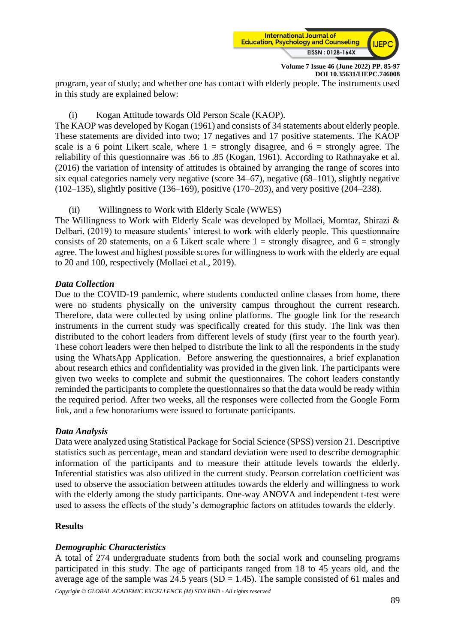

program, year of study; and whether one has contact with elderly people. The instruments used in this study are explained below:

# (i) Kogan Attitude towards Old Person Scale (KAOP).

The KAOP was developed by Kogan (1961) and consists of 34 statements about elderly people. These statements are divided into two; 17 negatives and 17 positive statements. The KAOP scale is a 6 point Likert scale, where  $1 =$  strongly disagree, and  $6 =$  strongly agree. The reliability of this questionnaire was .66 to .85 (Kogan, 1961). According to Rathnayake et al. (2016) the variation of intensity of attitudes is obtained by arranging the range of scores into six equal categories namely very negative (score 34–67), negative (68–101), slightly negative (102–135), slightly positive (136–169), positive (170–203), and very positive (204–238).

(ii) Willingness to Work with Elderly Scale (WWES)

The Willingness to Work with Elderly Scale was developed by Mollaei, Momtaz, Shirazi & Delbari, (2019) to measure students' interest to work with elderly people. This questionnaire consists of 20 statements, on a 6 Likert scale where  $1 =$  strongly disagree, and  $6 =$  strongly agree. The lowest and highest possible scores for willingness to work with the elderly are equal to 20 and 100, respectively (Mollaei et al., 2019).

# *Data Collection*

Due to the COVID-19 pandemic, where students conducted online classes from home, there were no students physically on the university campus throughout the current research. Therefore, data were collected by using online platforms. The google link for the research instruments in the current study was specifically created for this study. The link was then distributed to the cohort leaders from different levels of study (first year to the fourth year). These cohort leaders were then helped to distribute the link to all the respondents in the study using the WhatsApp Application. Before answering the questionnaires, a brief explanation about research ethics and confidentiality was provided in the given link. The participants were given two weeks to complete and submit the questionnaires. The cohort leaders constantly reminded the participants to complete the questionnaires so that the data would be ready within the required period. After two weeks, all the responses were collected from the Google Form link, and a few honorariums were issued to fortunate participants.

# *Data Analysis*

Data were analyzed using Statistical Package for Social Science (SPSS) version 21. Descriptive statistics such as percentage, mean and standard deviation were used to describe demographic information of the participants and to measure their attitude levels towards the elderly. Inferential statistics was also utilized in the current study. Pearson correlation coefficient was used to observe the association between attitudes towards the elderly and willingness to work with the elderly among the study participants. One-way ANOVA and independent t-test were used to assess the effects of the study's demographic factors on attitudes towards the elderly.

# **Results**

# *Demographic Characteristics*

A total of 274 undergraduate students from both the social work and counseling programs participated in this study. The age of participants ranged from 18 to 45 years old, and the average age of the sample was  $24.5$  years (SD = 1.45). The sample consisted of 61 males and

*Copyright © GLOBAL ACADEMIC EXCELLENCE (M) SDN BHD - All rights reserved*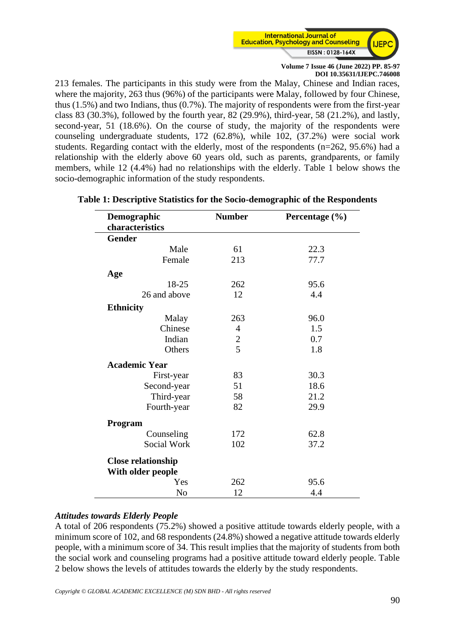

213 females. The participants in this study were from the Malay, Chinese and Indian races, where the majority, 263 thus (96%) of the participants were Malay, followed by four Chinese, thus (1.5%) and two Indians, thus (0.7%). The majority of respondents were from the first-year class 83 (30.3%), followed by the fourth year, 82 (29.9%), third-year, 58 (21.2%), and lastly, second-year, 51 (18.6%). On the course of study, the majority of the respondents were counseling undergraduate students, 172 (62.8%), while 102, (37.2%) were social work students. Regarding contact with the elderly, most of the respondents (n=262, 95.6%) had a relationship with the elderly above 60 years old, such as parents, grandparents, or family members, while 12 (4.4%) had no relationships with the elderly. Table 1 below shows the socio-demographic information of the study respondents.

| Demographic               | <b>Number</b>  | Percentage (%) |  |
|---------------------------|----------------|----------------|--|
| characteristics           |                |                |  |
| <b>Gender</b>             |                |                |  |
| Male                      | 61             | 22.3           |  |
| Female                    | 213            | 77.7           |  |
| Age                       |                |                |  |
| 18-25                     | 262            | 95.6           |  |
| 26 and above              | 12             | 4.4            |  |
| <b>Ethnicity</b>          |                |                |  |
| Malay                     | 263            | 96.0           |  |
| Chinese                   | $\overline{4}$ | 1.5            |  |
| Indian                    | $\overline{c}$ | 0.7            |  |
| Others                    | $\overline{5}$ | 1.8            |  |
| <b>Academic Year</b>      |                |                |  |
| First-year                | 83             | 30.3           |  |
| Second-year               | 51             | 18.6           |  |
| Third-year                | 58             | 21.2           |  |
| Fourth-year               | 82             | 29.9           |  |
| Program                   |                |                |  |
| Counseling                | 172            | 62.8           |  |
| Social Work               | 102            | 37.2           |  |
| <b>Close relationship</b> |                |                |  |
| With older people         |                |                |  |
| Yes                       | 262            | 95.6           |  |
| No                        | 12             | 4.4            |  |

# **Table 1: Descriptive Statistics for the Socio-demographic of the Respondents**

# *Attitudes towards Elderly People*

A total of 206 respondents (75.2%) showed a positive attitude towards elderly people, with a minimum score of 102, and 68 respondents (24.8%) showed a negative attitude towards elderly people, with a minimum score of 34. This result implies that the majority of students from both the social work and counseling programs had a positive attitude toward elderly people. Table 2 below shows the levels of attitudes towards the elderly by the study respondents.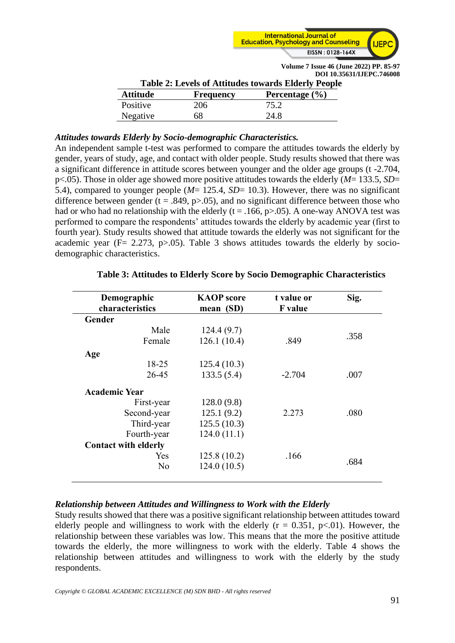

| <b>Table 2: Levels of Attitudes towards Elderly People</b> |                  |                    |  |  |  |
|------------------------------------------------------------|------------------|--------------------|--|--|--|
| <b>Attitude</b>                                            | <b>Frequency</b> | Percentage $(\% )$ |  |  |  |
| Positive                                                   | 206              | 75.2               |  |  |  |
| Negative                                                   | 68               | 24.8               |  |  |  |

# *Attitudes towards Elderly by Socio-demographic Characteristics.*

An independent sample t-test was performed to compare the attitudes towards the elderly by gender, years of study, age, and contact with older people. Study results showed that there was a significant difference in attitude scores between younger and the older age groups (t -2.704, p<.05). Those in older age showed more positive attitudes towards the elderly (*M*= 133.5, *SD*= 5.4), compared to younger people (*M*= 125.4, *SD*= 10.3). However, there was no significant difference between gender (t = .849, p $> 0.05$ ), and no significant difference between those who had or who had no relationship with the elderly ( $t = .166$ ,  $p > .05$ ). A one-way ANOVA test was performed to compare the respondents' attitudes towards the elderly by academic year (first to fourth year). Study results showed that attitude towards the elderly was not significant for the academic year ( $F = 2.273$ ,  $p > .05$ ). Table 3 shows attitudes towards the elderly by sociodemographic characteristics.

| Demographic                 | <b>KAOP</b> score | t value or     | Sig. |
|-----------------------------|-------------------|----------------|------|
| characteristics             | mean (SD)         | <b>F</b> value |      |
| Gender                      |                   |                |      |
| Male                        | 124.4(9.7)        |                |      |
| Female                      | 126.1(10.4)       | .849           | .358 |
| Age                         |                   |                |      |
| 18-25                       | 125.4(10.3)       |                |      |
| 26-45                       | 133.5(5.4)        | $-2.704$       | .007 |
| <b>Academic Year</b>        |                   |                |      |
| First-year                  | 128.0(9.8)        |                |      |
| Second-year                 | 125.1(9.2)        | 2.273          | .080 |
| Third-year                  | 125.5(10.3)       |                |      |
| Fourth-year                 | 124.0(11.1)       |                |      |
| <b>Contact with elderly</b> |                   |                |      |
| Yes                         | 125.8(10.2)       | .166           |      |
| N <sub>o</sub>              | 124.0(10.5)       |                | .684 |
|                             |                   |                |      |

# **Table 3: Attitudes to Elderly Score by Socio Demographic Characteristics**

# *Relationship between Attitudes and Willingness to Work with the Elderly*

Study results showed that there was a positive significant relationship between attitudes toward elderly people and willingness to work with the elderly  $(r = 0.351, p<0.01)$ . However, the relationship between these variables was low. This means that the more the positive attitude towards the elderly, the more willingness to work with the elderly. Table 4 shows the relationship between attitudes and willingness to work with the elderly by the study respondents.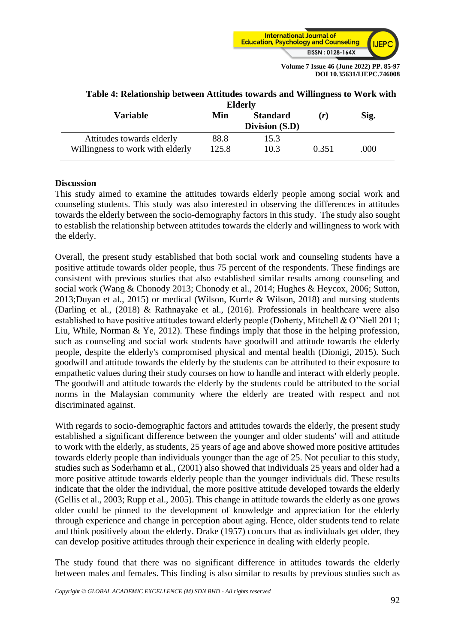

| <b>Elderly</b>                   |                        |                |       |      |  |
|----------------------------------|------------------------|----------------|-------|------|--|
| Variable                         | <b>Standard</b><br>Min |                | (r)   | Sig. |  |
|                                  |                        | Division (S.D) |       |      |  |
| Attitudes towards elderly        | 88.8                   | 15.3           |       |      |  |
| Willingness to work with elderly | 125.8                  | 10.3           | 0.351 | .000 |  |

# **Table 4: Relationship between Attitudes towards and Willingness to Work with**

# **Discussion**

This study aimed to examine the attitudes towards elderly people among social work and counseling students. This study was also interested in observing the differences in attitudes towards the elderly between the socio-demography factors in this study. The study also sought to establish the relationship between attitudes towards the elderly and willingness to work with the elderly.

Overall, the present study established that both social work and counseling students have a positive attitude towards older people, thus 75 percent of the respondents. These findings are consistent with previous studies that also established similar results among counseling and social work (Wang & Chonody 2013; Chonody et al., 2014; Hughes & Heycox, 2006; Sutton, 2013;Duyan et al., 2015) or medical (Wilson, Kurrle & Wilson, 2018) and nursing students (Darling et al., (2018) & Rathnayake et al., (2016). Professionals in healthcare were also established to have positive attitudes toward elderly people (Doherty, Mitchell & O'Niell 2011; Liu, While, Norman & Ye, 2012). These findings imply that those in the helping profession, such as counseling and social work students have goodwill and attitude towards the elderly people, despite the elderly's compromised physical and mental health (Dionigi, 2015). Such goodwill and attitude towards the elderly by the students can be attributed to their exposure to empathetic values during their study courses on how to handle and interact with elderly people. The goodwill and attitude towards the elderly by the students could be attributed to the social norms in the Malaysian community where the elderly are treated with respect and not discriminated against.

With regards to socio-demographic factors and attitudes towards the elderly, the present study established a significant difference between the younger and older students' will and attitude to work with the elderly, as students, 25 years of age and above showed more positive attitudes towards elderly people than individuals younger than the age of 25. Not peculiar to this study, studies such as Soderhamn et al., (2001) also showed that individuals 25 years and older had a more positive attitude towards elderly people than the younger individuals did. These results indicate that the older the individual, the more positive attitude developed towards the elderly (Gellis et al., 2003; Rupp et al., 2005). This change in attitude towards the elderly as one grows older could be pinned to the development of knowledge and appreciation for the elderly through experience and change in perception about aging. Hence, older students tend to relate and think positively about the elderly. Drake (1957) concurs that as individuals get older, they can develop positive attitudes through their experience in dealing with elderly people.

The study found that there was no significant difference in attitudes towards the elderly between males and females. This finding is also similar to results by previous studies such as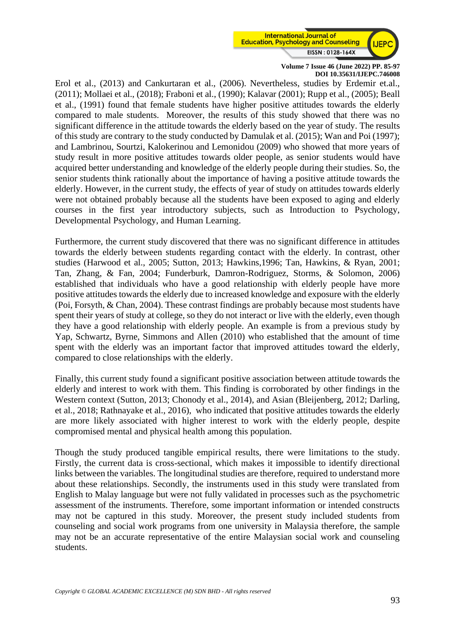

Erol et al., (2013) and Cankurtaran et al., (2006). Nevertheless, studies by Erdemir et.al., (2011); Mollaei et al., (2018); Fraboni et al., (1990); Kalavar (2001); Rupp et al., (2005); Beall et al., (1991) found that female students have higher positive attitudes towards the elderly compared to male students. Moreover, the results of this study showed that there was no significant difference in the attitude towards the elderly based on the year of study. The results of this study are contrary to the study conducted by Damulak et al. (2015); Wan and Poi (1997); and Lambrinou, Sourtzi, Kalokerinou and Lemonidou (2009) who showed that more years of study result in more positive attitudes towards older people, as senior students would have acquired better understanding and knowledge of the elderly people during their studies. So, the senior students think rationally about the importance of having a positive attitude towards the elderly. However, in the current study, the effects of year of study on attitudes towards elderly were not obtained probably because all the students have been exposed to aging and elderly courses in the first year introductory subjects, such as Introduction to Psychology, Developmental Psychology, and Human Learning.

Furthermore, the current study discovered that there was no significant difference in attitudes towards the elderly between students regarding contact with the elderly. In contrast, other studies (Harwood et al., 2005; Sutton, 2013; Hawkins,1996; Tan, Hawkins, & Ryan, 2001; Tan, Zhang, & Fan, 2004; Funderburk, Damron-Rodriguez, Storms, & Solomon, 2006) established that individuals who have a good relationship with elderly people have more positive attitudes towards the elderly due to increased knowledge and exposure with the elderly (Poi, Forsyth, & Chan, 2004). These contrast findings are probably because most students have spent their years of study at college, so they do not interact or live with the elderly, even though they have a good relationship with elderly people. An example is from a previous study by Yap, Schwartz, Byrne, Simmons and Allen (2010) who established that the amount of time spent with the elderly was an important factor that improved attitudes toward the elderly, compared to close relationships with the elderly.

Finally, this current study found a significant positive association between attitude towards the elderly and interest to work with them. This finding is corroborated by other findings in the Western context (Sutton, 2013; Chonody et al., 2014), and Asian (Bleijenberg, 2012; Darling, et al., 2018; Rathnayake et al., 2016), who indicated that positive attitudes towards the elderly are more likely associated with higher interest to work with the elderly people, despite compromised mental and physical health among this population.

Though the study produced tangible empirical results, there were limitations to the study. Firstly, the current data is cross-sectional, which makes it impossible to identify directional links between the variables. The longitudinal studies are therefore, required to understand more about these relationships. Secondly, the instruments used in this study were translated from English to Malay language but were not fully validated in processes such as the psychometric assessment of the instruments. Therefore, some important information or intended constructs may not be captured in this study. Moreover, the present study included students from counseling and social work programs from one university in Malaysia therefore, the sample may not be an accurate representative of the entire Malaysian social work and counseling students.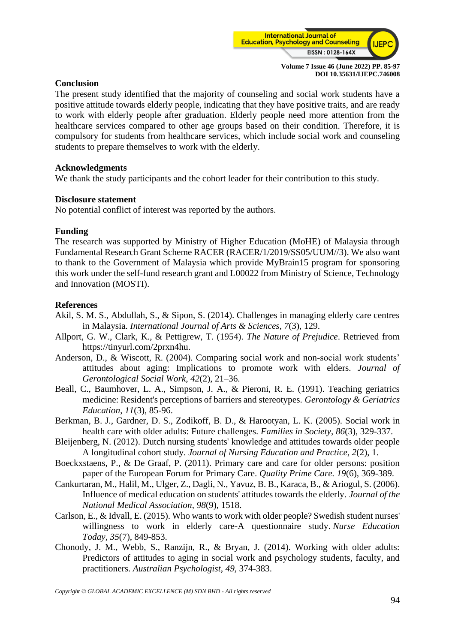

# **Conclusion**

The present study identified that the majority of counseling and social work students have a positive attitude towards elderly people, indicating that they have positive traits, and are ready to work with elderly people after graduation. Elderly people need more attention from the healthcare services compared to other age groups based on their condition. Therefore, it is compulsory for students from healthcare services, which include social work and counseling students to prepare themselves to work with the elderly.

# **Acknowledgments**

We thank the study participants and the cohort leader for their contribution to this study.

## **Disclosure statement**

No potential conflict of interest was reported by the authors.

## **Funding**

The research was supported by Ministry of Higher Education (MoHE) of Malaysia through Fundamental Research Grant Scheme RACER (RACER/1/2019/SS05/UUM//3). We also want to thank to the Government of Malaysia which provide MyBrain15 program for sponsoring this work under the self-fund research grant and L00022 from Ministry of Science, Technology and Innovation (MOSTI).

# **References**

- Akil, S. M. S., Abdullah, S., & Sipon, S. (2014). Challenges in managing elderly care centres in Malaysia. *International Journal of Arts & Sciences*, *7*(3), 129.
- Allport, G. W., Clark, K., & Pettigrew, T. (1954). *The Nature of Prejudice*. Retrieved from https://tinyurl.com/2prxn4hu.
- Anderson, D., & Wiscott, R. (2004). Comparing social work and non-social work students' attitudes about aging: Implications to promote work with elders. *Journal of Gerontological Social Work, 42*(2), 21–36.
- Beall, C., Baumhover, L. A., Simpson, J. A., & Pieroni, R. E. (1991). Teaching geriatrics medicine: Resident's perceptions of barriers and stereotypes. *Gerontology & Geriatrics Education*, *11*(3), 85-96.
- Berkman, B. J., Gardner, D. S., Zodikoff, B. D., & Harootyan, L. K. (2005). Social work in health care with older adults: Future challenges. *Families in Society*, *86*(3), 329-337.
- Bleijenberg, N. (2012). Dutch nursing students' knowledge and attitudes towards older people A longitudinal cohort study. *Journal of Nursing Education and Practice*, *2*(2), 1.
- Boeckxstaens, P., & De Graaf, P. (2011). Primary care and care for older persons: position paper of the European Forum for Primary Care. *Quality Prime Care. 19*(6), 369-389.
- Cankurtaran, M., Halil, M., Ulger, Z., Dagli, N., Yavuz, B. B., Karaca, B., & Ariogul, S. (2006). Influence of medical education on students' attitudes towards the elderly. *Journal of the National Medical Association*, *98*(9), 1518.
- Carlson, E., & Idvall, E. (2015). Who wants to work with older people? Swedish student nurses' willingness to work in elderly care-A questionnaire study. *Nurse Education Today*, *35*(7), 849-853.
- Chonody, J. M., Webb, S., Ranzijn, R., & Bryan, J. (2014). Working with older adults: Predictors of attitudes to aging in social work and psychology students, faculty, and practitioners. *Australian Psychologist*, *49,* 374-383.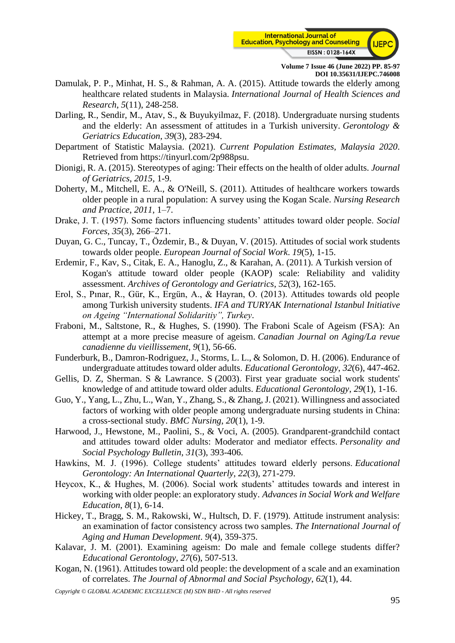

- Damulak, P. P., Minhat, H. S., & Rahman, A. A. (2015). Attitude towards the elderly among healthcare related students in Malaysia. *International Journal of Health Sciences and Research*, *5*(11), 248-258.
- Darling, R., Sendir, M., Atav, S., & Buyukyilmaz, F. (2018). Undergraduate nursing students and the elderly: An assessment of attitudes in a Turkish university. *Gerontology & Geriatrics Education*, *39*(3), 283-294.
- Department of Statistic Malaysia. (2021). *Current Population Estimates, Malaysia 2020*. Retrieved from [https://tinyurl.com/2p988psu.](https://tinyurl.com/2p988psu)
- Dionigi, R. A. (2015). Stereotypes of aging: Their effects on the health of older adults. *Journal of Geriatrics*, *2015*, 1-9.
- Doherty, M., Mitchell, E. A., & O'Neill, S. (2011). Attitudes of healthcare workers towards older people in a rural population: A survey using the Kogan Scale. *Nursing Research and Practice*, *2011*, 1–7.
- Drake, J. T. (1957). Some factors influencing students' attitudes toward older people. *Social Forces*, *35*(3), 266–271.
- Duyan, G. C., Tuncay, T., Özdemir, B., & Duyan, V. (2015). Attitudes of social work students towards older people. *European Journal of Social Work*. *19*(5), 1-15.
- Erdemir, F., Kav, S., Citak, E. A., Hanoglu, Z., & Karahan, A. (2011). A Turkish version of Kogan's attitude toward older people (KAOP) scale: Reliability and validity assessment. *Archives of Gerontology and Geriatrics*, *52*(3), 162-165.
- Erol, S., Pınar, R., Gür, K., Ergün, A., & Hayran, O. (2013). Attitudes towards old people among Turkish university students. *IFA and TURYAK International Istanbul Initiative on Ageing "International Solidaritiy", Turkey*.
- Fraboni, M., Saltstone, R., & Hughes, S. (1990). The Fraboni Scale of Ageism (FSA): An attempt at a more precise measure of ageism. *Canadian Journal on Aging/La revue canadienne du vieillissement*, *9*(1), 56-66.
- Funderburk, B., Damron-Rodriguez, J., Storms, L. L., & Solomon, D. H. (2006). Endurance of undergraduate attitudes toward older adults. *Educational Gerontology*, *32*(6), 447-462.
- Gellis, D. Z, Sherman. S & Lawrance. S (2003). First year graduate social work students' knowledge of and attitude toward older adults. *Educational Gerontology*, *29*(1), 1-16.
- Guo, Y., Yang, L., Zhu, L., Wan, Y., Zhang, S., & Zhang, J. (2021). Willingness and associated factors of working with older people among undergraduate nursing students in China: a cross-sectional study. *BMC Nursing*, *20*(1), 1-9.
- Harwood, J., Hewstone, M., Paolini, S., & Voci, A. (2005). Grandparent-grandchild contact and attitudes toward older adults: Moderator and mediator effects. *Personality and Social Psychology Bulletin*, *31*(3), 393-406.
- Hawkins, M. J. (1996). College students' attitudes toward elderly persons. *Educational Gerontology: An International Quarterly*, *22*(3), 271-279.
- Heycox, K., & Hughes, M. (2006). Social work students' attitudes towards and interest in working with older people: an exploratory study. *Advances in Social Work and Welfare Education*, *8*(1), 6-14.
- Hickey, T., Bragg, S. M., Rakowski, W., Hultsch, D. F. (1979). Attitude instrument analysis: an examination of factor consistency across two samples. *The International Journal of Aging and Human Development*. *9*(4), 359-375.
- Kalavar, J. M. (2001). Examining ageism: Do male and female college students differ? *Educational Gerontology*, *27*(6), 507-513.
- Kogan, N. (1961). Attitudes toward old people: the development of a scale and an examination of correlates. *The Journal of Abnormal and Social Psychology*, *62*(1), 44.
- *Copyright © GLOBAL ACADEMIC EXCELLENCE (M) SDN BHD - All rights reserved*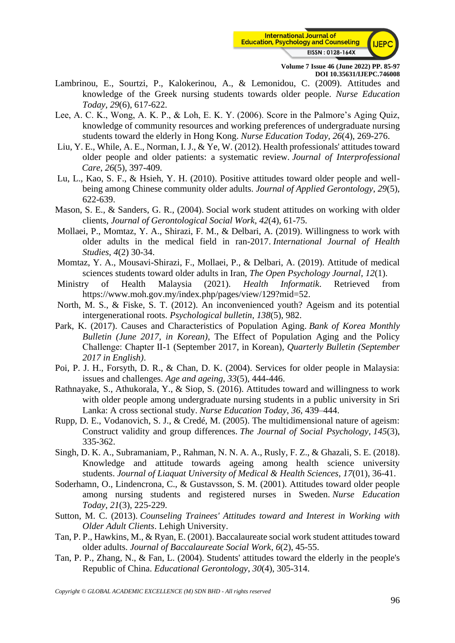

- Lambrinou, E., Sourtzi, P., Kalokerinou, A., & Lemonidou, C. (2009). Attitudes and knowledge of the Greek nursing students towards older people. *Nurse Education Today*, *29*(6), 617-622.
- Lee, A. C. K., Wong, A. K. P., & Loh, E. K. Y. (2006). Score in the Palmore's Aging Quiz, knowledge of community resources and working preferences of undergraduate nursing students toward the elderly in Hong Kong. *Nurse Education Today*, *26*(4), 269-276.
- Liu, Y. E., While, A. E., Norman, I. J., & Ye, W. (2012). Health professionals' attitudes toward older people and older patients: a systematic review. *Journal of Interprofessional Care*, *26*(5), 397-409.
- Lu, L., Kao, S. F., & Hsieh, Y. H. (2010). Positive attitudes toward older people and wellbeing among Chinese community older adults. *Journal of Applied Gerontology*, *29*(5), 622-639.
- Mason, S. E., & Sanders, G. R., (2004). Social work student attitudes on working with older clients, *Journal of Gerontological Social Work*, *42*(4), 61-75.
- Mollaei, P., Momtaz, Y. A., Shirazi, F. M., & Delbari, A. (2019). Willingness to work with older adults in the medical field in ran-2017. *International Journal of Health Studies*, *4*(2) 30-34.
- Momtaz, Y. A., Mousavi-Shirazi, F., Mollaei, P., & Delbari, A. (2019). Attitude of medical sciences students toward older adults in Iran, *The Open Psychology Journal*, *12*(1).
- Ministry of Health Malaysia (2021). *Health Informatik*. Retrieved from [https://www.moh.gov.my/index.php/pages/view/129?mid=52.](https://www.moh.gov.my/index.php/pages/view/129?mid=52)
- North, M. S., & Fiske, S. T. (2012). An inconvenienced youth? Ageism and its potential intergenerational roots. *Psychological bulletin*, *138*(5), 982.
- Park, K. (2017). Causes and Characteristics of Population Aging. *Bank of Korea Monthly Bulletin (June 2017, in Korean),* The Effect of Population Aging and the Policy Challenge: Chapter Ⅱ-1 (September 2017, in Korean)*, Quarterly Bulletin (September 2017 in English)*.
- Poi, P. J. H., Forsyth, D. R., & Chan, D. K. (2004). Services for older people in Malaysia: issues and challenges. *Age and ageing*, *33*(5), 444-446.
- Rathnayake, S., Athukorala, Y., & Siop, S. (2016). Attitudes toward and willingness to work with older people among undergraduate nursing students in a public university in Sri Lanka: A cross sectional study. *Nurse Education Today*, *36*, 439–444.
- Rupp, D. E., Vodanovich, S. J., & Credé, M. (2005). The multidimensional nature of ageism: Construct validity and group differences. *The Journal of Social Psychology*, *145*(3), 335-362.
- Singh, D. K. A., Subramaniam, P., Rahman, N. N. A. A., Rusly, F. Z., & Ghazali, S. E. (2018). Knowledge and attitude towards ageing among health science university students. *Journal of Liaquat University of Medical & Health Sciences*, *17*(01), 36-41.
- Soderhamn, O., Lindencrona, C., & Gustavsson, S. M. (2001). Attitudes toward older people among nursing students and registered nurses in Sweden. *Nurse Education Today*, *21*(3), 225-229.
- Sutton, M. C. (2013). *Counseling Trainees' Attitudes toward and Interest in Working with Older Adult Clients*. Lehigh University.
- Tan, P. P., Hawkins, M., & Ryan, E. (2001). Baccalaureate social work student attitudes toward older adults. *Journal of Baccalaureate Social Work*, *6*(2), 45-55.
- Tan, P. P., Zhang, N., & Fan, L. (2004). Students' attitudes toward the elderly in the people's Republic of China. *Educational Gerontology*, *30*(4), 305-314.